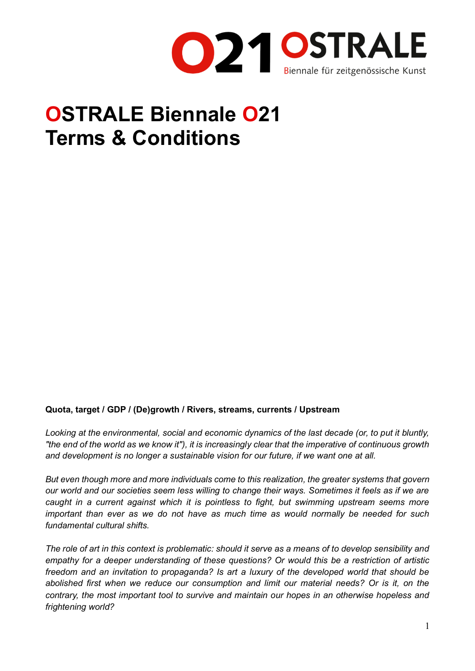

# **OSTRALE Biennale O21 Terms & Conditions**

#### **Quota, target / GDP / (De)growth / Rivers, streams, currents / Upstream**

*Looking at the environmental, social and economic dynamics of the last decade (or, to put it bluntly, "the end of the world as we know it"), it is increasingly clear that the imperative of continuous growth and development is no longer a sustainable vision for our future, if we want one at all.*

*But even though more and more individuals come to this realization, the greater systems that govern our world and our societies seem less willing to change their ways. Sometimes it feels as if we are caught in a current against which it is pointless to fight, but swimming upstream seems more important than ever as we do not have as much time as would normally be needed for such fundamental cultural shifts.*

*The role of art in this context is problematic: should it serve as a means of to develop sensibility and empathy for a deeper understanding of these questions? Or would this be a restriction of artistic freedom and an invitation to propaganda? Is art a luxury of the developed world that should be abolished first when we reduce our consumption and limit our material needs? Or is it, on the contrary, the most important tool to survive and maintain our hopes in an otherwise hopeless and frightening world?*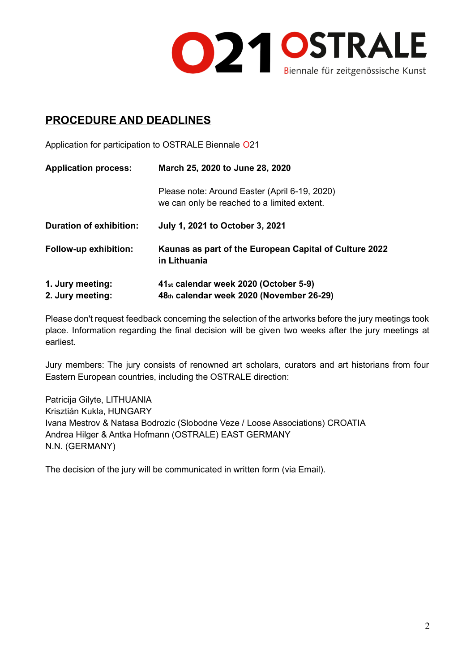

# **PROCEDURE AND DEADLINES**

Application for participation to OSTRALE Biennale O21

| <b>Application process:</b>    | March 25, 2020 to June 28, 2020                                                              |
|--------------------------------|----------------------------------------------------------------------------------------------|
|                                | Please note: Around Easter (April 6-19, 2020)<br>we can only be reached to a limited extent. |
| <b>Duration of exhibition:</b> | July 1, 2021 to October 3, 2021                                                              |
| <b>Follow-up exhibition:</b>   | Kaunas as part of the European Capital of Culture 2022<br>in Lithuania                       |
| 1. Jury meeting:               | 41 <sub>st</sub> calendar week 2020 (October 5-9)                                            |
| 2. Jury meeting:               | 48th calendar week 2020 (November 26-29)                                                     |

Please don't request feedback concerning the selection of the artworks before the jury meetings took place. Information regarding the final decision will be given two weeks after the jury meetings at earliest.

Jury members: The jury consists of renowned art scholars, curators and art historians from four Eastern European countries, including the OSTRALE direction:

Patricija Gilyte, LITHUANIA Krisztián Kukla, HUNGARY Ivana Mestrov & Natasa Bodrozic (Slobodne Veze / Loose Associations) CROATIA Andrea Hilger & Antka Hofmann (OSTRALE) EAST GERMANY N.N. (GERMANY)

The decision of the jury will be communicated in written form (via Email).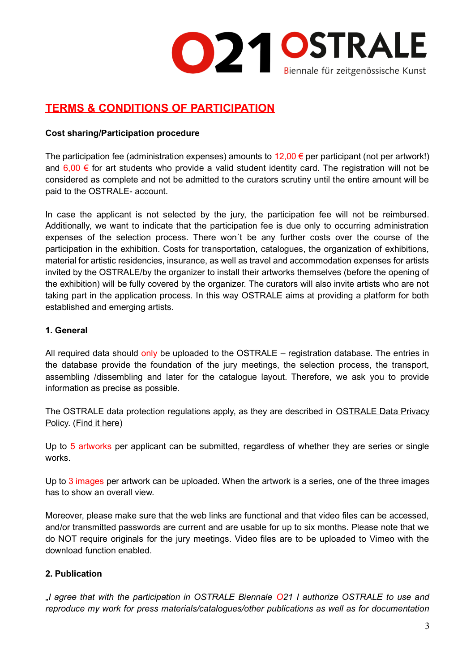

# **TERMS & CONDITIONS OF PARTICIPATION**

## **Cost sharing/Participation procedure**

The participation fee (administration expenses) amounts to  $12,00 \in$  per participant (not per artwork!) and  $6,00 \in$  for art students who provide a valid student identity card. The registration will not be considered as complete and not be admitted to the curators scrutiny until the entire amount will be paid to the OSTRALE- account.

In case the applicant is not selected by the jury, the participation fee will not be reimbursed. Additionally, we want to indicate that the participation fee is due only to occurring administration expenses of the selection process. There won´t be any further costs over the course of the participation in the exhibition. Costs for transportation, catalogues, the organization of exhibitions, material for artistic residencies, insurance, as well as travel and accommodation expenses for artists invited by the OSTRALE/by the organizer to install their artworks themselves (before the opening of the exhibition) will be fully covered by the organizer. The curators will also invite artists who are not taking part in the application process. In this way OSTRALE aims at providing a platform for both established and emerging artists.

## **1. General**

All required data should only be uploaded to the OSTRALE – registration database. The entries in the database provide the foundation of the jury meetings, the selection process, the transport, assembling /dissembling and later for the catalogue layout. Therefore, we ask you to provide information as precise as possible.

The OSTRALE data protection regulations apply, as they are described in OSTRALE Data Privacy [Policy.](https://ostrale.de/en/imprint.html) [\(Find it here\)](https://ostrale.de/en/imprint.html)

Up to 5 artworks per applicant can be submitted, regardless of whether they are series or single works.

Up to 3 images per artwork can be uploaded. When the artwork is a series, one of the three images has to show an overall view.

Moreover, please make sure that the web links are functional and that video files can be accessed, and/or transmitted passwords are current and are usable for up to six months. Please note that we do NOT require originals for the jury meetings. Video files are to be uploaded to Vimeo with the download function enabled.

# **2. Publication**

"*I agree that with the participation in OSTRALE Biennale O21 I authorize OSTRALE to use and reproduce my work for press materials/catalogues/other publications as well as for documentation*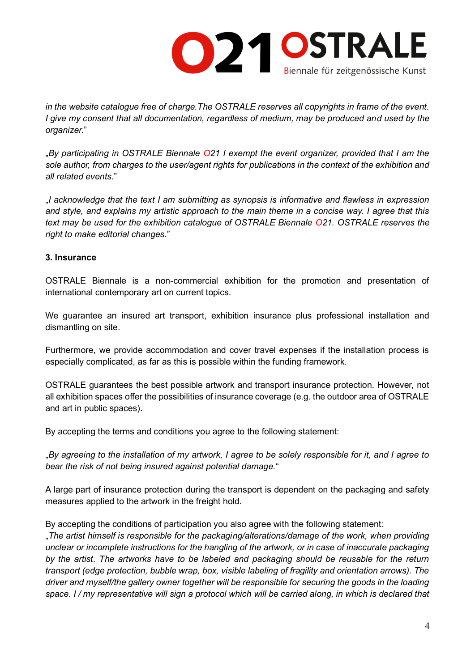

*in the website catalogue free of charge.The OSTRALE reserves all copyrights in frame of the event. I give my consent that all documentation, regardless of medium, may be produced and used by the organizer.*"

"*By participating in OSTRALE Biennale O21 I exempt the event organizer, provided that I am the sole author, from charges to the user/agent rights for publications in the context of the exhibition and all related events.*"

"*I acknowledge that the text I am submitting as synopsis is informative and flawless in expression and style, and explains my artistic approach to the main theme in a concise way. I agree that this text may be used for the exhibition catalogue of OSTRALE Biennale O21. OSTRALE reserves the right to make editorial changes.*"

## **3. Insurance**

OSTRALE Biennale is a non-commercial exhibition for the promotion and presentation of international contemporary art on current topics.

We guarantee an insured art transport, exhibition insurance plus professional installation and dismantling on site.

Furthermore, we provide accommodation and cover travel expenses if the installation process is especially complicated, as far as this is possible within the funding framework.

OSTRALE guarantees the best possible artwork and transport insurance protection. However, not all exhibition spaces offer the possibilities of insurance coverage (e.g. the outdoor area of OSTRALE and art in public spaces).

By accepting the terms and conditions you agree to the following statement:

"*By agreeing to the installation of my artwork, I agree to be solely responsible for it, and I agree to bear the risk of not being insured against potential damage.*"

A large part of insurance protection during the transport is dependent on the packaging and safety measures applied to the artwork in the freight hold.

By accepting the conditions of participation you also agree with the following statement:

"*The artist himself is responsible for the packaging/alterations/damage of the work, when providing unclear or incomplete instructions for the hangling of the artwork, or in case of inaccurate packaging by the artist. The artworks have to be labeled and packaging should be reusable for the return transport (edge protection, bubble wrap, box, visible labeling of fragility and orientation arrows). The driver and myself/the gallery owner together will be responsible for securing the goods in the loading space. I / my representative will sign a protocol which will be carried along, in which is declared that*